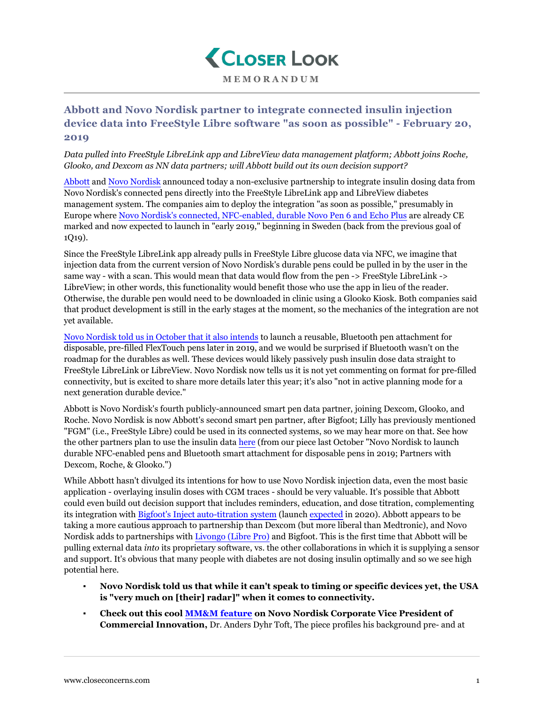

## **Abbott and Novo Nordisk partner to integrate connected insulin injection device data into FreeStyle Libre software "as soon as possible" - February 20, 2019**

*Data pulled into FreeStyle LibreLink app and LibreView data management platform; Abbott joins Roche, Glooko, and Dexcom as NN data partners; will Abbott build out its own decision support?*

[Abbott](https://abbott.mediaroom.com/2019-02-20-Abbott-and-Novo-Nordisk-Enter-Partnership-to-Provide-Integrated-Digital-Solution-to-People-with-Diabetes-Using-Insulin) and [Novo Nordisk](https://www.novonordisk.com/media/news-details.2235735.html) announced today a non-exclusive partnership to integrate insulin dosing data from Novo Nordisk's connected pens directly into the FreeStyle LibreLink app and LibreView diabetes management system. The companies aim to deploy the integration "as soon as possible," presumably in Europe where [Novo Nordisk's connected, NFC-enabled, durable Novo Pen 6 and Echo Plus](https://www.closeconcerns.com/knowledgebase/r/364503f9) are already CE marked and now expected to launch in "early 2019," beginning in Sweden (back from the previous goal of 1Q19).

Since the FreeStyle LibreLink app already pulls in FreeStyle Libre glucose data via NFC, we imagine that injection data from the current version of Novo Nordisk's durable pens could be pulled in by the user in the same way - with a scan. This would mean that data would flow from the pen -> FreeStyle LibreLink -> LibreView; in other words, this functionality would benefit those who use the app in lieu of the reader. Otherwise, the durable pen would need to be downloaded in clinic using a Glooko Kiosk. Both companies said that product development is still in the early stages at the moment, so the mechanics of the integration are not yet available.

[Novo Nordisk told us in October that it also intends](https://www.closeconcerns.com/knowledgebase/r/364503f9) to launch a reusable, Bluetooth pen attachment for disposable, pre-filled FlexTouch pens later in 2019, and we would be surprised if Bluetooth wasn't on the roadmap for the durables as well. These devices would likely passively push insulin dose data straight to FreeStyle LibreLink or LibreView. Novo Nordisk now tells us it is not yet commenting on format for pre-filled connectivity, but is excited to share more details later this year; it's also "not in active planning mode for a next generation durable device."

Abbott is Novo Nordisk's fourth publicly-announced smart pen data partner, joining Dexcom, Glooko, and Roche. Novo Nordisk is now Abbott's second smart pen partner, after Bigfoot; Lilly has previously mentioned "FGM" (i.e., FreeStyle Libre) could be used in its connected systems, so we may hear more on that. See how the other partners plan to use the insulin data [here](https://www.closeconcerns.com/knowledgebase/r/364503f9#Non-Exclusive_Development_and_Collaboration_Agreements_with_Roche_Dexcom_and_Glooko) (from our piece last October "Novo Nordisk to launch") durable NFC-enabled pens and Bluetooth smart attachment for disposable pens in 2019; Partners with Dexcom, Roche, & Glooko.")

While Abbott hasn't divulged its intentions for how to use Novo Nordisk injection data, even the most basic application - overlaying insulin doses with CGM traces - should be very valuable. It's possible that Abbott could even build out decision support that includes reminders, education, and dose titration, complementing its integration with [Bigfoot's Inject auto-titration system](https://www.closeconcerns.com/knowledgebase/r/656a1658#Bigfoots_Jeffrey_Brewer:_2Q19_Pivotal_Trial_for_Loop_Launch_in_2020_for_Loop_and_Inject_Portfolio_Includes_Slew_of_T2D_Titration_Offerings_FreeStyle_Libre_2.0_Sooner_Than_People_Realize_Nice_Packaging) (launch [expected](https://www.closeconcerns.com/knowledgebase/r/25d6034f) in 2020). Abbott appears to be taking a more cautious approach to partnership than Dexcom (but more liberal than Medtronic), and Novo Nordisk adds to partnerships with [Livongo \(Libre Pro\)](https://www.closeconcerns.com/knowledgebase/r/2ef0bc1b) and Bigfoot. This is the first time that Abbott will be pulling external data *into* its proprietary software, vs. the other collaborations in which it is supplying a sensor and support. It's obvious that many people with diabetes are not dosing insulin optimally and so we see high potential here.

- **Novo Nordisk told us that while it can't speak to timing or specific devices yet, the USA is "very much on [their] radar]" when it comes to connectivity.**
- **Check out this cool [MM&M feature](https://www.mmm-online.com/home/channel/features/novo-nordisks-anders-dyhr-toft-talks-health-tech-and-engaging-the-startup-community/) on Novo Nordisk Corporate Vice President of Commercial Innovation,** Dr. Anders Dyhr Toft, The piece profiles his background pre- and at